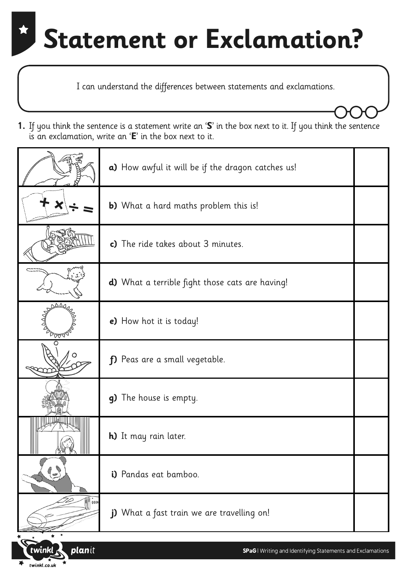I can understand the differences between statements and exclamations.

**1.** If you think the sentence is a statement write an '**S**' in the box next to it. If you think the sentence is an exclamation, write an '**E**' in the box next to it.

|               | a) How awful it will be if the dragon catches us!      |  |
|---------------|--------------------------------------------------------|--|
|               | <b>b)</b> What a hard maths problem this is!           |  |
|               | c) The ride takes about 3 minutes.                     |  |
|               | <b>d)</b> What a terrible fight those cats are having! |  |
| ∕ ⊽⊽√         | e) How hot it is today!                                |  |
|               | f) Peas are a small vegetable.                         |  |
|               | g) The house is empty.                                 |  |
|               | <b>h)</b> It may rain later.                           |  |
| 7)            | i) Pandas eat bamboo.                                  |  |
| <b>M</b> 0000 | j) What a fast train we are travelling on!             |  |
|               |                                                        |  |

planit

 $t$  winkl.co.uk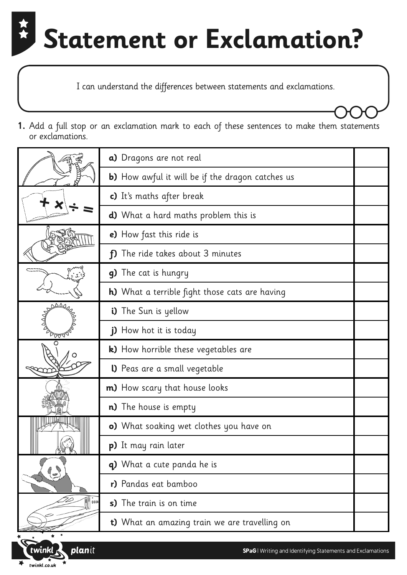I can understand the differences between statements and exclamations.

|              | a) Dragons are not real                                 |
|--------------|---------------------------------------------------------|
|              | <b>b)</b> How awful it will be if the dragon catches us |
|              | c) It's maths after break                               |
|              | <b>d)</b> What a hard maths problem this is             |
|              | e) How fast this ride is                                |
|              | The ride takes about 3 minutes<br>f)                    |
|              | g) The cat is hungry                                    |
|              | <b>h)</b> What a terrible fight those cats are having   |
| ΔΔα          | i) The Sun is yellow                                    |
| ∕⊽⊽∿         | j) How hot it is today                                  |
|              | k) How horrible these vegetables are                    |
|              | <b>I)</b> Peas are a small vegetable                    |
|              | <b>m)</b> How scary that house looks                    |
|              | <b>n)</b> The house is empty                            |
|              | o) What soaking wet clothes you have on                 |
|              | <b>p)</b> It may rain later                             |
| $\mathbb{C}$ | q) What a cute panda he is                              |
|              | r) Pandas eat bamboo                                    |
| 0000         | s) The train is on time                                 |
|              | t) What an amazing train we are travelling on           |

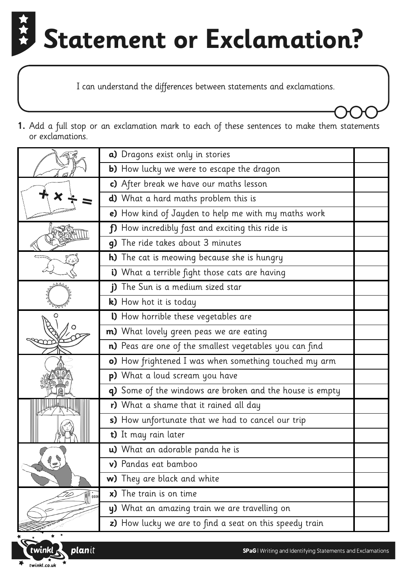I can understand the differences between statements and exclamations.

|                  | a) Dragons exist only in stories                         |  |
|------------------|----------------------------------------------------------|--|
|                  | b) How lucky we were to escape the dragon                |  |
|                  | c) After break we have our maths lesson                  |  |
|                  | d) What a hard maths problem this is                     |  |
|                  | e) How kind of Jayden to help me with my maths work      |  |
|                  | f) How incredibly fast and exciting this ride is         |  |
|                  | q) The ride takes about 3 minutes                        |  |
|                  | <b>h)</b> The cat is meowing because she is hungry       |  |
|                  | i) What a terrible fight those cats are having           |  |
|                  | j) The Sun is a medium sized star                        |  |
|                  | k) How hot it is today                                   |  |
|                  | <b>I)</b> How horrible these vegetables are              |  |
|                  | <b>m)</b> What lovely green peas we are eating           |  |
|                  | n) Peas are one of the smallest vegetables you can find  |  |
|                  | o) How frightened I was when something touched my arm    |  |
|                  | p) What a loud scream you have                           |  |
|                  | q) Some of the windows are broken and the house is empty |  |
|                  | r) What a shame that it rained all day                   |  |
|                  | s) How unfortunate that we had to cancel our trip        |  |
|                  | t) It may rain later                                     |  |
| $9 - 10$<br>0000 | <b>u)</b> What an adorable panda he is                   |  |
|                  | v) Pandas eat bamboo                                     |  |
|                  | w) They are black and white                              |  |
|                  | x) The train is on time                                  |  |
|                  | y) What an amazing train we are travelling on            |  |
|                  | z) How lucky we are to find a seat on this speedy train  |  |

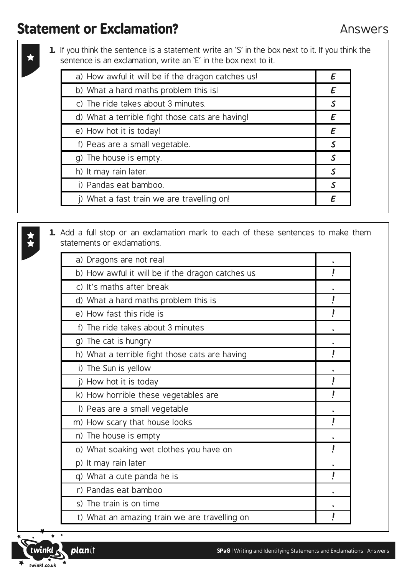**1.** If you think the sentence is a statement write an 'S' in the box next to it. If you think the sentence is an exclamation, write an 'E' in the box next to it.

| a) How awful it will be if the dragon catches us! |   |
|---------------------------------------------------|---|
| b) What a hard maths problem this is!             | E |
| c) The ride takes about 3 minutes.                |   |
| d) What a terrible fight those cats are having!   | E |
| e) How hot it is today!                           | E |
| f) Peas are a small vegetable.                    |   |
| g) The house is empty.                            |   |
| h) It may rain later.                             |   |
| i) Pandas eat bamboo.                             |   |
| j) What a fast train we are travelling on!        |   |
|                                                   |   |

| a) Dragons are not real                          |  |
|--------------------------------------------------|--|
| b) How awful it will be if the dragon catches us |  |
| c) It's maths after break                        |  |
| d) What a hard maths problem this is             |  |
| e) How fast this ride is                         |  |
| f) The ride takes about 3 minutes                |  |
| g) The cat is hungry                             |  |
| h) What a terrible fight those cats are having   |  |
| i) The Sun is yellow                             |  |
| j) How hot it is today                           |  |
| k) How horrible these vegetables are             |  |
| I) Peas are a small vegetable                    |  |
| m) How scary that house looks                    |  |
| n) The house is empty                            |  |
| o) What soaking wet clothes you have on          |  |
| p) It may rain later                             |  |
| q) What a cute panda he is                       |  |
| r) Pandas eat bamboo                             |  |
| s) The train is on time                          |  |
| t) What an amazing train we are travelling on    |  |